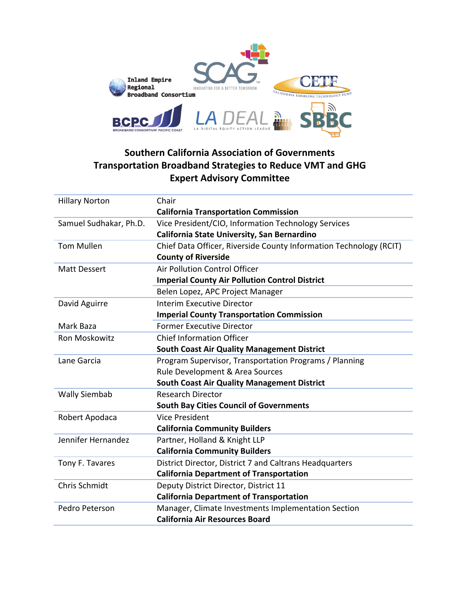

## **Southern California Association of Governments Transportation Broadband Strategies to Reduce VMT and GHG Expert Advisory Committee**

| <b>Hillary Norton</b>  | Chair                                                              |
|------------------------|--------------------------------------------------------------------|
|                        | <b>California Transportation Commission</b>                        |
| Samuel Sudhakar, Ph.D. | Vice President/CIO, Information Technology Services                |
|                        | California State University, San Bernardino                        |
| <b>Tom Mullen</b>      | Chief Data Officer, Riverside County Information Technology (RCIT) |
|                        | <b>County of Riverside</b>                                         |
| <b>Matt Dessert</b>    | Air Pollution Control Officer                                      |
|                        | <b>Imperial County Air Pollution Control District</b>              |
|                        | Belen Lopez, APC Project Manager                                   |
| David Aguirre          | <b>Interim Executive Director</b>                                  |
|                        | <b>Imperial County Transportation Commission</b>                   |
| Mark Baza              | <b>Former Executive Director</b>                                   |
| Ron Moskowitz          | <b>Chief Information Officer</b>                                   |
|                        | <b>South Coast Air Quality Management District</b>                 |
| Lane Garcia            | Program Supervisor, Transportation Programs / Planning             |
|                        | Rule Development & Area Sources                                    |
|                        | <b>South Coast Air Quality Management District</b>                 |
| <b>Wally Siembab</b>   | <b>Research Director</b>                                           |
|                        | <b>South Bay Cities Council of Governments</b>                     |
| Robert Apodaca         | <b>Vice President</b>                                              |
|                        | <b>California Community Builders</b>                               |
| Jennifer Hernandez     | Partner, Holland & Knight LLP                                      |
|                        | <b>California Community Builders</b>                               |
| Tony F. Tavares        | District Director, District 7 and Caltrans Headquarters            |
|                        | <b>California Department of Transportation</b>                     |
| <b>Chris Schmidt</b>   | Deputy District Director, District 11                              |
|                        | <b>California Department of Transportation</b>                     |
| Pedro Peterson         | Manager, Climate Investments Implementation Section                |
|                        | <b>California Air Resources Board</b>                              |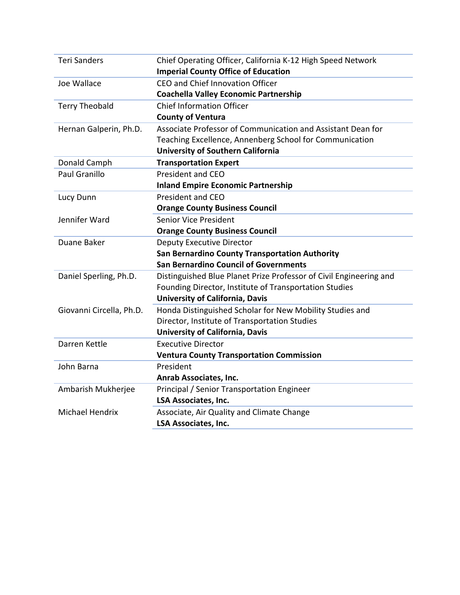| <b>Teri Sanders</b>      | Chief Operating Officer, California K-12 High Speed Network        |
|--------------------------|--------------------------------------------------------------------|
|                          | <b>Imperial County Office of Education</b>                         |
| Joe Wallace              | CEO and Chief Innovation Officer                                   |
|                          | <b>Coachella Valley Economic Partnership</b>                       |
| <b>Terry Theobald</b>    | <b>Chief Information Officer</b>                                   |
|                          | <b>County of Ventura</b>                                           |
| Hernan Galperin, Ph.D.   | Associate Professor of Communication and Assistant Dean for        |
|                          | Teaching Excellence, Annenberg School for Communication            |
|                          | <b>University of Southern California</b>                           |
| Donald Camph             | <b>Transportation Expert</b>                                       |
| <b>Paul Granillo</b>     | <b>President and CEO</b>                                           |
|                          | <b>Inland Empire Economic Partnership</b>                          |
| Lucy Dunn                | <b>President and CEO</b>                                           |
|                          | <b>Orange County Business Council</b>                              |
| Jennifer Ward            | <b>Senior Vice President</b>                                       |
|                          | <b>Orange County Business Council</b>                              |
| Duane Baker              | <b>Deputy Executive Director</b>                                   |
|                          | San Bernardino County Transportation Authority                     |
|                          | <b>San Bernardino Council of Governments</b>                       |
| Daniel Sperling, Ph.D.   | Distinguished Blue Planet Prize Professor of Civil Engineering and |
|                          | Founding Director, Institute of Transportation Studies             |
|                          | <b>University of California, Davis</b>                             |
| Giovanni Circella, Ph.D. | Honda Distinguished Scholar for New Mobility Studies and           |
|                          | Director, Institute of Transportation Studies                      |
|                          | <b>University of California, Davis</b>                             |
| Darren Kettle            | <b>Executive Director</b>                                          |
|                          | <b>Ventura County Transportation Commission</b>                    |
| John Barna               | President                                                          |
|                          | Anrab Associates, Inc.                                             |
| Ambarish Mukherjee       | Principal / Senior Transportation Engineer                         |
|                          | <b>LSA Associates, Inc.</b>                                        |
| <b>Michael Hendrix</b>   | Associate, Air Quality and Climate Change                          |
|                          | <b>LSA Associates, Inc.</b>                                        |